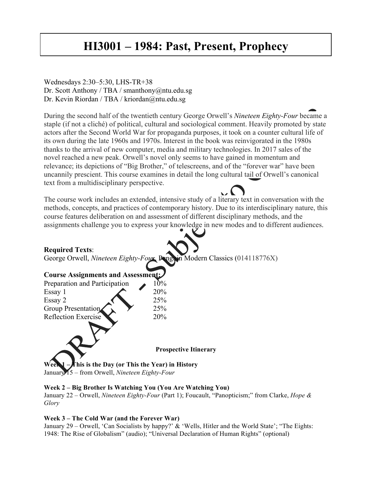# **HI3001 – 1984: Past, Present, Prophecy**

## Wednesdays 2:30–5:30, LHS-TR+38 Dr. Scott Anthony / TBA / smanthony@ntu.edu.sg Dr. Kevin Riordan / TBA / kriordan@ntu.edu.sg

During the second half of the twentieth century George Orwell's *Nineteen Eighty-Four* became a staple (if not a cliché) of political, cultural and sociological comment. Heavily promoted by state actors after the Second World War for propaganda purposes, it took on a counter cultural life of its own during the late 1960s and 1970s. Interest in the book was reinvigorated in the 1980s thanks to the arrival of new computer, media and military technologies. In 2017 sales of the novel reached a new peak. Orwell's novel only seems to have gained in momentum and relevance; its depictions of "Big Brother," of telescreens, and of the "forever war" have been uncannily prescient. This course examines in detail the long cultural tail of Orwell's canonical text from a multidisciplinary perspective.

The course work includes an extended, intensive study of a literary text in conversation with the methods, concepts, and practices of contemporary history. Due to its interdisciplinary nature, this course features deliberation on and assessment of different disciplinary methods, and the assignments challenge you to express your knowledge in new modes and to different audiences.

### **Required Texts**:

George Orwell, *Nineteen Eighty-Four*, Penguin Modern Classics (014118776X)

| <b>Course Assignments and Assessment:</b>             |                              |
|-------------------------------------------------------|------------------------------|
| Preparation and Participation                         | 10%                          |
| Essay 1                                               | 20%                          |
| Essay 2                                               | 25%                          |
| Group Presentation                                    | 25%                          |
| <b>Reflection Exercise</b>                            | 20%                          |
|                                                       |                              |
|                                                       |                              |
|                                                       | <b>Prospective Itinerary</b> |
| This is the Day (or This the Year) in History<br>Weel |                              |

January 15 – from Orwell, *Nineteen Eighty-Four*

#### **Week 2 – Big Brother Is Watching You (You Are Watching You)**

January 22 – Orwell, *Nineteen Eighty-Four* (Part 1); Foucault, "Panopticism;" from Clarke, *Hope & Glory*

#### **Week 3 – The Cold War (and the Forever War)**

January 29 – Orwell, 'Can Socialists by happy?' & 'Wells, Hitler and the World State'; "The Eights: 1948: The Rise of Globalism" (audio); "Universal Declaration of Human Rights" (optional)